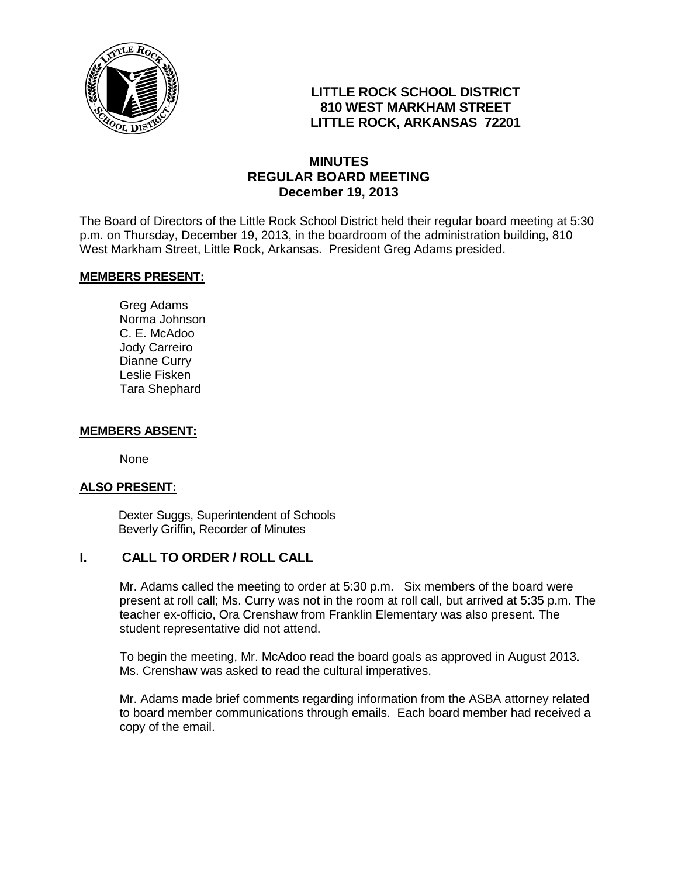

# **LITTLE ROCK SCHOOL DISTRICT 810 WEST MARKHAM STREET LITTLE ROCK, ARKANSAS 72201**

# **MINUTES REGULAR BOARD MEETING December 19, 2013**

The Board of Directors of the Little Rock School District held their regular board meeting at 5:30 p.m. on Thursday, December 19, 2013, in the boardroom of the administration building, 810 West Markham Street, Little Rock, Arkansas. President Greg Adams presided.

#### **MEMBERS PRESENT:**

Greg Adams Norma Johnson C. E. McAdoo Jody Carreiro Dianne Curry Leslie Fisken Tara Shephard

#### **MEMBERS ABSENT:**

None

#### **ALSO PRESENT:**

 Dexter Suggs, Superintendent of Schools Beverly Griffin, Recorder of Minutes

## **I. CALL TO ORDER / ROLL CALL**

Mr. Adams called the meeting to order at 5:30 p.m. Six members of the board were present at roll call; Ms. Curry was not in the room at roll call, but arrived at 5:35 p.m. The teacher ex-officio, Ora Crenshaw from Franklin Elementary was also present. The student representative did not attend.

To begin the meeting, Mr. McAdoo read the board goals as approved in August 2013. Ms. Crenshaw was asked to read the cultural imperatives.

Mr. Adams made brief comments regarding information from the ASBA attorney related to board member communications through emails. Each board member had received a copy of the email.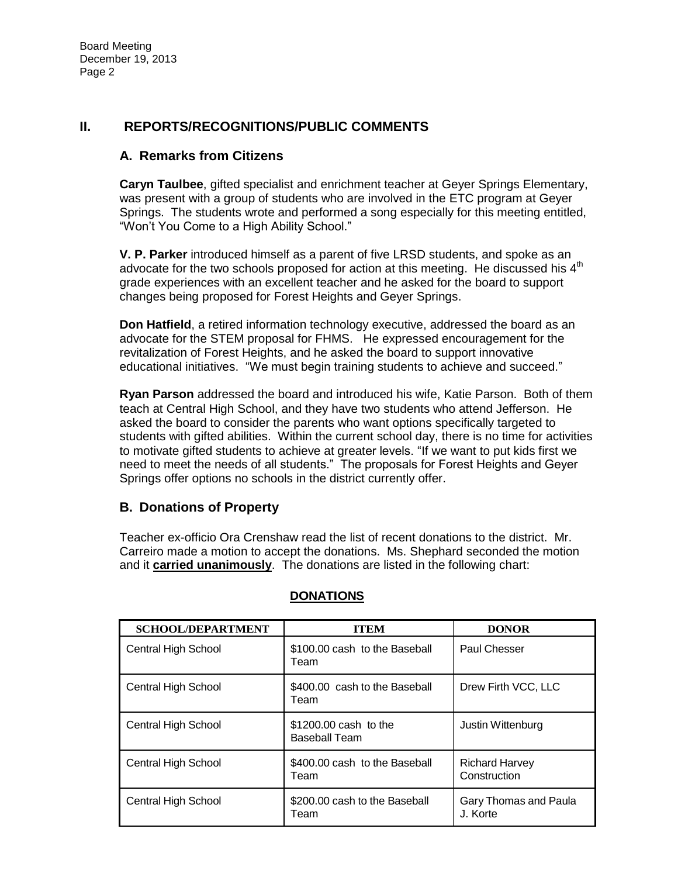# **II. REPORTS/RECOGNITIONS/PUBLIC COMMENTS**

### **A. Remarks from Citizens**

**Caryn Taulbee**, gifted specialist and enrichment teacher at Geyer Springs Elementary, was present with a group of students who are involved in the ETC program at Geyer Springs. The students wrote and performed a song especially for this meeting entitled, "Won't You Come to a High Ability School."

**V. P. Parker** introduced himself as a parent of five LRSD students, and spoke as an advocate for the two schools proposed for action at this meeting. He discussed his  $4<sup>th</sup>$ grade experiences with an excellent teacher and he asked for the board to support changes being proposed for Forest Heights and Geyer Springs.

**Don Hatfield**, a retired information technology executive, addressed the board as an advocate for the STEM proposal for FHMS. He expressed encouragement for the revitalization of Forest Heights, and he asked the board to support innovative educational initiatives. "We must begin training students to achieve and succeed."

**Ryan Parson** addressed the board and introduced his wife, Katie Parson. Both of them teach at Central High School, and they have two students who attend Jefferson. He asked the board to consider the parents who want options specifically targeted to students with gifted abilities. Within the current school day, there is no time for activities to motivate gifted students to achieve at greater levels. "If we want to put kids first we need to meet the needs of all students." The proposals for Forest Heights and Geyer Springs offer options no schools in the district currently offer.

## **B. Donations of Property**

Teacher ex-officio Ora Crenshaw read the list of recent donations to the district. Mr. Carreiro made a motion to accept the donations. Ms. Shephard seconded the motion and it **carried unanimously**. The donations are listed in the following chart:

| <b>SCHOOL/DEPARTMENT</b> | ITEM                                          | <b>DONOR</b>                          |
|--------------------------|-----------------------------------------------|---------------------------------------|
| Central High School      | \$100,00 cash to the Baseball<br>Team         | Paul Chesser                          |
| Central High School      | \$400.00 cash to the Baseball<br>Team         | Drew Firth VCC, LLC                   |
| Central High School      | \$1200,00 cash to the<br><b>Baseball Team</b> | Justin Wittenburg                     |
| Central High School      | \$400,00 cash to the Baseball<br>Team         | <b>Richard Harvey</b><br>Construction |
| Central High School      | \$200,00 cash to the Baseball<br>Team         | Gary Thomas and Paula<br>J. Korte     |

#### **DONATIONS**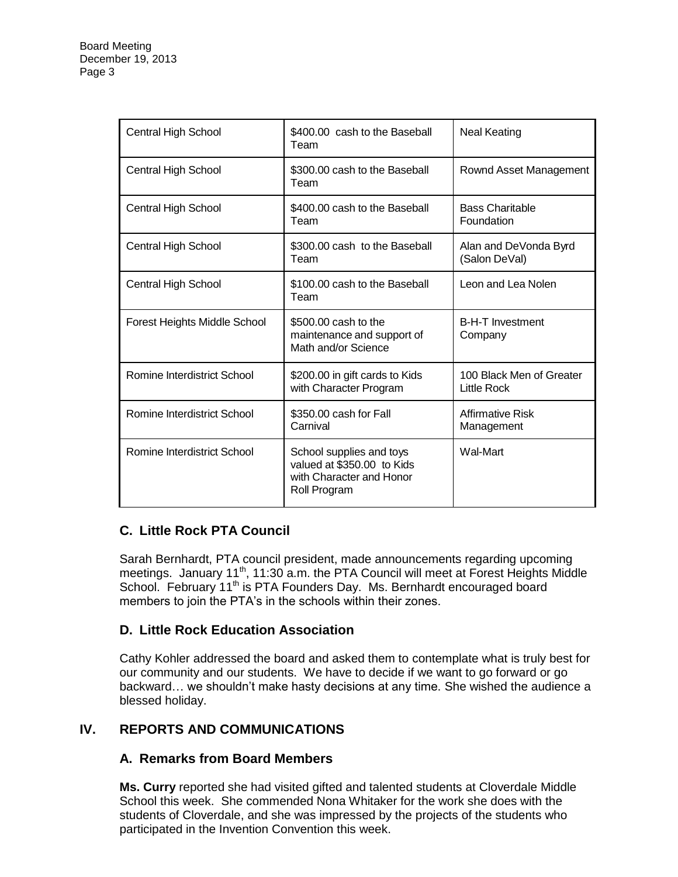| <b>Central High School</b>   | \$400.00 cash to the Baseball<br>Team                                                              | <b>Neal Keating</b>                     |
|------------------------------|----------------------------------------------------------------------------------------------------|-----------------------------------------|
| <b>Central High School</b>   | \$300.00 cash to the Baseball<br>Team                                                              | Rownd Asset Management                  |
| Central High School          | \$400.00 cash to the Baseball<br>Team                                                              | <b>Bass Charitable</b><br>Foundation    |
| <b>Central High School</b>   | \$300.00 cash to the Baseball<br>Team                                                              | Alan and DeVonda Byrd<br>(Salon DeVal)  |
| <b>Central High School</b>   | \$100.00 cash to the Baseball<br>Team                                                              | Leon and Lea Nolen                      |
| Forest Heights Middle School | \$500,00 cash to the<br>maintenance and support of<br>Math and/or Science                          | <b>B-H-T Investment</b><br>Company      |
| Romine Interdistrict School  | \$200.00 in gift cards to Kids<br>with Character Program                                           | 100 Black Men of Greater<br>Little Rock |
| Romine Interdistrict School  | \$350.00 cash for Fall<br>Carnival                                                                 | Affirmative Risk<br>Management          |
| Romine Interdistrict School  | School supplies and toys<br>valued at \$350.00 to Kids<br>with Character and Honor<br>Roll Program | Wal-Mart                                |

# **C. Little Rock PTA Council**

Sarah Bernhardt, PTA council president, made announcements regarding upcoming meetings. January 11<sup>th</sup>, 11:30 a.m. the PTA Council will meet at Forest Heights Middle School. February 11<sup>th</sup> is PTA Founders Day. Ms. Bernhardt encouraged board members to join the PTA's in the schools within their zones.

# **D. Little Rock Education Association**

Cathy Kohler addressed the board and asked them to contemplate what is truly best for our community and our students. We have to decide if we want to go forward or go backward… we shouldn't make hasty decisions at any time. She wished the audience a blessed holiday.

# **IV. REPORTS AND COMMUNICATIONS**

## **A. Remarks from Board Members**

**Ms. Curry** reported she had visited gifted and talented students at Cloverdale Middle School this week. She commended Nona Whitaker for the work she does with the students of Cloverdale, and she was impressed by the projects of the students who participated in the Invention Convention this week.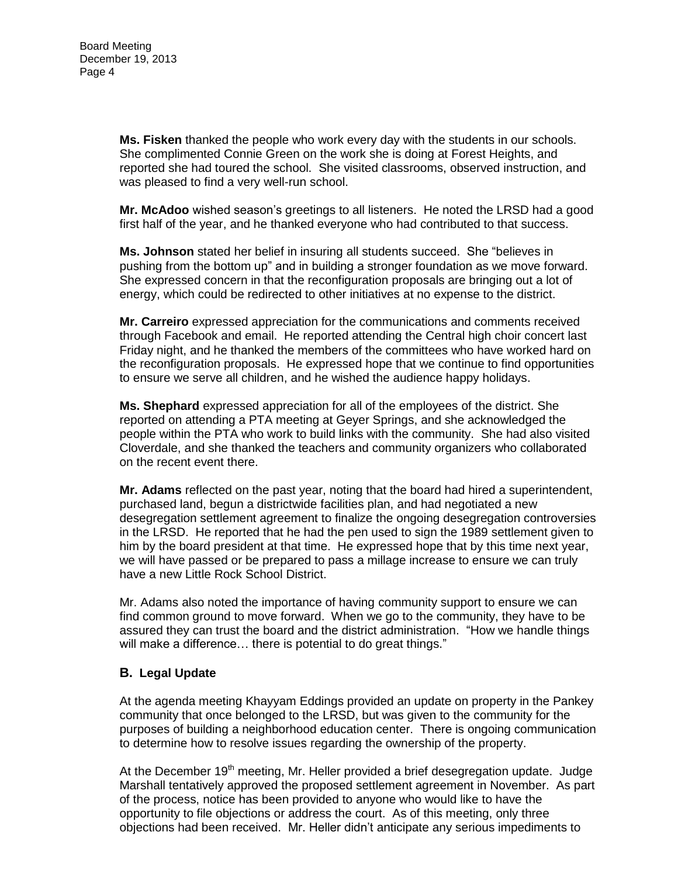**Ms. Fisken** thanked the people who work every day with the students in our schools. She complimented Connie Green on the work she is doing at Forest Heights, and reported she had toured the school. She visited classrooms, observed instruction, and was pleased to find a very well-run school.

**Mr. McAdoo** wished season's greetings to all listeners. He noted the LRSD had a good first half of the year, and he thanked everyone who had contributed to that success.

**Ms. Johnson** stated her belief in insuring all students succeed. She "believes in pushing from the bottom up" and in building a stronger foundation as we move forward. She expressed concern in that the reconfiguration proposals are bringing out a lot of energy, which could be redirected to other initiatives at no expense to the district.

**Mr. Carreiro** expressed appreciation for the communications and comments received through Facebook and email. He reported attending the Central high choir concert last Friday night, and he thanked the members of the committees who have worked hard on the reconfiguration proposals. He expressed hope that we continue to find opportunities to ensure we serve all children, and he wished the audience happy holidays.

**Ms. Shephard** expressed appreciation for all of the employees of the district. She reported on attending a PTA meeting at Geyer Springs, and she acknowledged the people within the PTA who work to build links with the community. She had also visited Cloverdale, and she thanked the teachers and community organizers who collaborated on the recent event there.

**Mr. Adams** reflected on the past year, noting that the board had hired a superintendent, purchased land, begun a districtwide facilities plan, and had negotiated a new desegregation settlement agreement to finalize the ongoing desegregation controversies in the LRSD. He reported that he had the pen used to sign the 1989 settlement given to him by the board president at that time. He expressed hope that by this time next year, we will have passed or be prepared to pass a millage increase to ensure we can truly have a new Little Rock School District.

Mr. Adams also noted the importance of having community support to ensure we can find common ground to move forward. When we go to the community, they have to be assured they can trust the board and the district administration. "How we handle things will make a difference... there is potential to do great things."

## **B. Legal Update**

At the agenda meeting Khayyam Eddings provided an update on property in the Pankey community that once belonged to the LRSD, but was given to the community for the purposes of building a neighborhood education center. There is ongoing communication to determine how to resolve issues regarding the ownership of the property.

At the December  $19<sup>th</sup>$  meeting, Mr. Heller provided a brief desegregation update. Judge Marshall tentatively approved the proposed settlement agreement in November. As part of the process, notice has been provided to anyone who would like to have the opportunity to file objections or address the court. As of this meeting, only three objections had been received. Mr. Heller didn't anticipate any serious impediments to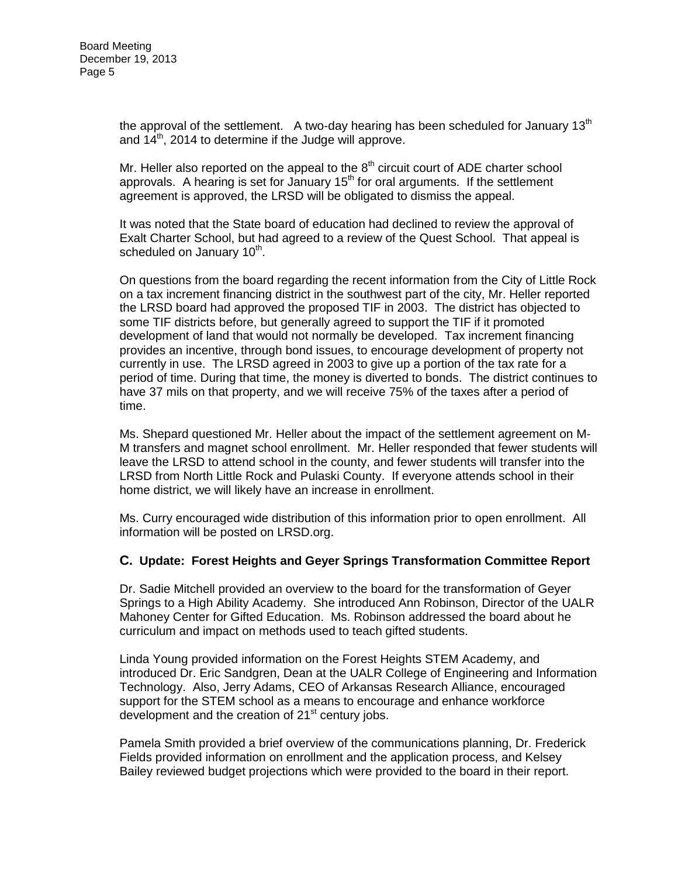the approval of the settlement. A two-day hearing has been scheduled for January  $13<sup>th</sup>$ and  $14<sup>th</sup>$ , 2014 to determine if the Judge will approve.

Mr. Heller also reported on the appeal to the  $8<sup>th</sup>$  circuit court of ADE charter school approvals. A hearing is set for January  $15<sup>th</sup>$  for oral arguments. If the settlement agreement is approved, the LRSD will be obligated to dismiss the appeal.

It was noted that the State board of education had declined to review the approval of Exalt Charter School, but had agreed to a review of the Quest School. That appeal is scheduled on January 10<sup>th</sup>.

On questions from the board regarding the recent information from the City of Little Rock on a tax increment financing district in the southwest part of the city, Mr. Heller reported the LRSD board had approved the proposed TIF in 2003. The district has objected to some TIF districts before, but generally agreed to support the TIF if it promoted development of land that would not normally be developed. Tax increment financing provides an incentive, through bond issues, to encourage development of property not currently in use. The LRSD agreed in 2003 to give up a portion of the tax rate for a period of time. During that time, the money is diverted to bonds. The district continues to have 37 mils on that property, and we will receive 75% of the taxes after a period of time.

Ms. Shepard questioned Mr. Heller about the impact of the settlement agreement on M-M transfers and magnet school enrollment. Mr. Heller responded that fewer students will leave the LRSD to attend school in the county, and fewer students will transfer into the LRSD from North Little Rock and Pulaski County. If everyone attends school in their home district, we will likely have an increase in enrollment.

Ms. Curry encouraged wide distribution of this information prior to open enrollment. All information will be posted on LRSD.org.

#### **C. Update: Forest Heights and Geyer Springs Transformation Committee Report**

Dr. Sadie Mitchell provided an overview to the board for the transformation of Geyer Springs to a High Ability Academy. She introduced Ann Robinson, Director of the UALR Mahoney Center for Gifted Education. Ms. Robinson addressed the board about he curriculum and impact on methods used to teach gifted students.

Linda Young provided information on the Forest Heights STEM Academy, and introduced Dr. Eric Sandgren, Dean at the UALR College of Engineering and Information Technology. Also, Jerry Adams, CEO of Arkansas Research Alliance, encouraged support for the STEM school as a means to encourage and enhance workforce development and the creation of  $21<sup>st</sup>$  century jobs.

Pamela Smith provided a brief overview of the communications planning, Dr. Frederick Fields provided information on enrollment and the application process, and Kelsey Bailey reviewed budget projections which were provided to the board in their report.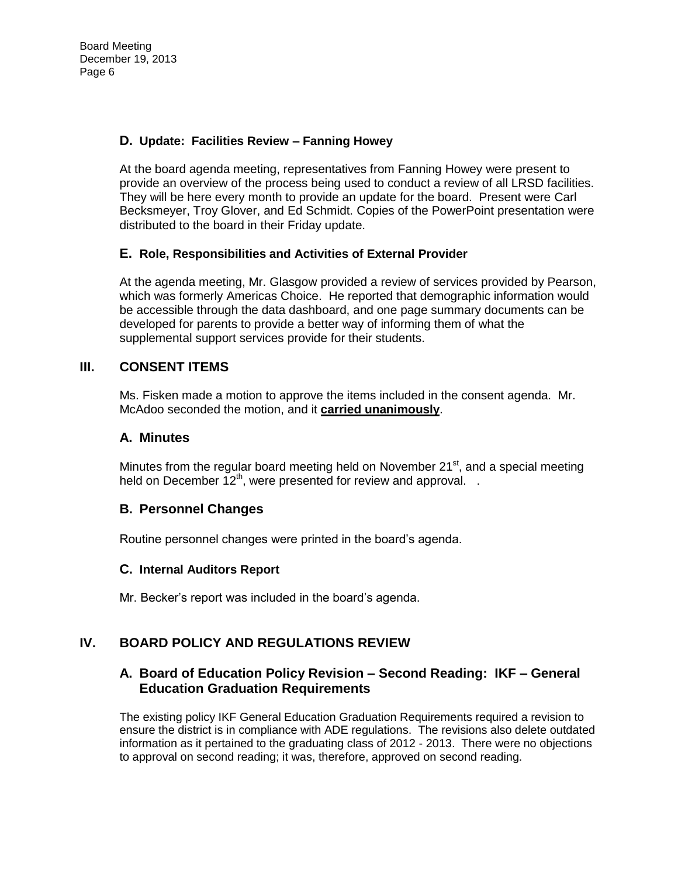## **D. Update: Facilities Review – Fanning Howey**

At the board agenda meeting, representatives from Fanning Howey were present to provide an overview of the process being used to conduct a review of all LRSD facilities. They will be here every month to provide an update for the board. Present were Carl Becksmeyer, Troy Glover, and Ed Schmidt. Copies of the PowerPoint presentation were distributed to the board in their Friday update.

### **E. Role, Responsibilities and Activities of External Provider**

At the agenda meeting, Mr. Glasgow provided a review of services provided by Pearson, which was formerly Americas Choice. He reported that demographic information would be accessible through the data dashboard, and one page summary documents can be developed for parents to provide a better way of informing them of what the supplemental support services provide for their students.

### **III. CONSENT ITEMS**

Ms. Fisken made a motion to approve the items included in the consent agenda. Mr. McAdoo seconded the motion, and it **carried unanimously**.

### **A. Minutes**

Minutes from the regular board meeting held on November 21<sup>st</sup>, and a special meeting held on December  $12^{th}$ , were presented for review and approval.  $\therefore$ 

#### **B. Personnel Changes**

Routine personnel changes were printed in the board's agenda.

#### **C. Internal Auditors Report**

Mr. Becker's report was included in the board's agenda.

# **IV. BOARD POLICY AND REGULATIONS REVIEW**

## **A. Board of Education Policy Revision – Second Reading: IKF – General Education Graduation Requirements**

The existing policy IKF General Education Graduation Requirements required a revision to ensure the district is in compliance with ADE regulations. The revisions also delete outdated information as it pertained to the graduating class of 2012 - 2013. There were no objections to approval on second reading; it was, therefore, approved on second reading.